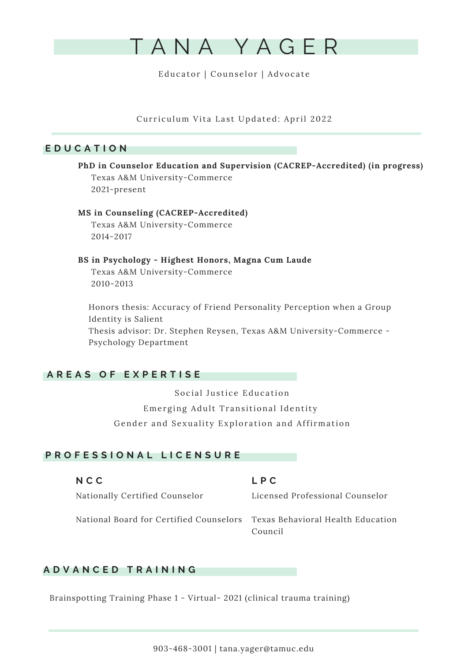

Curriculum Vita Last Updated: April 2022

# **E D U C A T I O N**

**PhD in Counselor Education and Supervision (CACREP-Accredited) (in progress)** Texas A&M University-Commerce 2021-present

## **MS in Counseling (CACREP-Accredited)**

Texas A&M University-Commerce 2014-2017

**BS in Psychology - Highest Honors, Magna Cum Laude** Texas A&M University-Commerce 2010-2013

Honors thesis: Accuracy of Friend Personality Perception when a Group Identity is Salient Thesis advisor: Dr. Stephen Reysen, Texas A&M University-Commerce - Psychology Department

# **A R E A S O F E X P E R T I S E**

Social Justice Education Emerging Adult Transitional Identity Gender and Sexuality Exploration and Affirmation

# **P R O F E S S I O N A L L I C E N S U R E**

**L P C** Licensed Professional Counselor National Board for Certified Counselors Texas Behavioral Health Education Council **N C C** Nationally Certified Counselor

# **A D V A N C E D T R A I N I N G**

Brainspotting Training Phase 1 - Virtual- 2021 (clinical trauma training)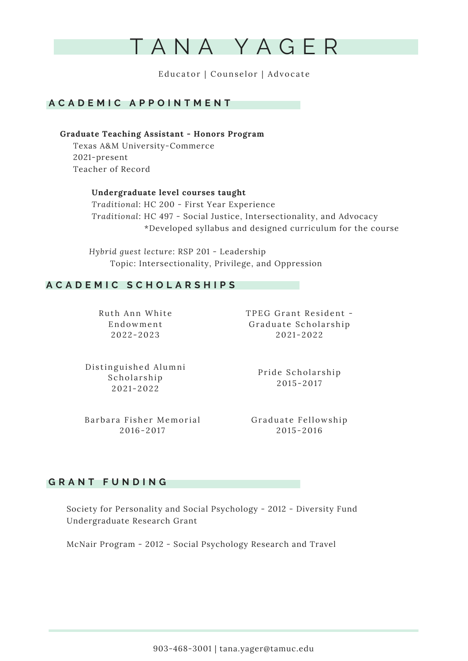

# **A C A D E M I C A P P O I N T M E N T**

**Graduate Teaching Assistant - Honors Program** Texas A&M University-Commerce 2021-present Teacher of Record

> **Undergraduate level courses taught** *Traditiona*l: HC 200 - First Year Experience *Traditional*: HC 497 - Social Justice, Intersectionality, and Advocacy \*Developed syllabus and designed curriculum for the course

*Hybrid guest lecture*: RSP 201 - Leadership Topic: Intersectionality, Privilege, and Oppression

# **A C A D E M I C S C H O L A R S H I P S**

Ruth Ann White Endo wment  $2022 - 2023$ 

TPEG Grant Resident -Graduate Scholarship  $2021 - 2022$ 

Distinguished Alumni Scholarship  $2021 - 2022$ 

Pride Scholarship  $2015 - 2017$ 

Barbara Fisher Memorial  $2016 - 2017$ 

Graduate Fellowship  $2015 - 2016$ 

## **G R A N T F U N D I N G**

Society for Personality and Social Psychology - 2012 - Diversity Fund Undergraduate Research Grant

McNair Program - 2012 - Social Psychology Research and Travel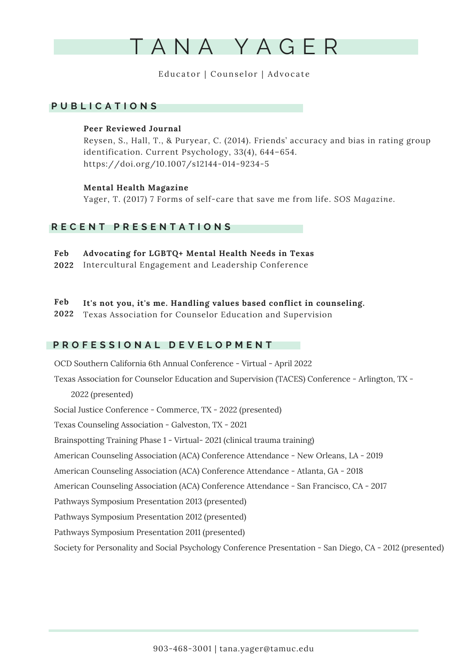

# **P U B L I C A T I O N S**

## **Peer Reviewed Journal**

Reysen, S., Hall, T., & Puryear, C. (2014). Friends' accuracy and bias in rating group identification. Current Psychology, 33(4), 644–654. https://doi.org/10.1007/s12144-014-9234-5

## **Mental Health Magazine**

Yager, T. (2017) 7 Forms of self-care that save me from life. *SOS Magazine.*

# **R E C E N T P R E S E N T A T I O N S**

- **Advocating for LGBTQ+ Mental Health Needs in Texas Feb**
- Intercultural Engagement and Leadership Conference **2022**
- **It's not you, it's me. Handling values based conflict in counseling. Feb**
- Texas Association for Counselor Education and Supervision **2022**

# **P R O F E S S I O N A L D E V E L O P M E N T**

OCD Southern California 6th Annual Conference - Virtual - April 2022 Texas Association for Counselor Education and Supervision (TACES) Conference - Arlington, TX - 2022 (presented) Social Justice Conference - Commerce, TX - 2022 (presented) Texas Counseling Association - Galveston, TX - 2021 Brainspotting Training Phase 1 - Virtual- 2021 (clinical trauma training) American Counseling Association (ACA) Conference Attendance - New Orleans, LA - 2019 American Counseling Association (ACA) Conference Attendance - Atlanta, GA - 2018 American Counseling Association (ACA) Conference Attendance - San Francisco, CA - 2017 Pathways Symposium Presentation 2013 (presented) Pathways Symposium Presentation 2012 (presented) Pathways Symposium Presentation 2011 (presented) Society for Personality and Social Psychology Conference Presentation - San Diego, CA - 2012 (presented)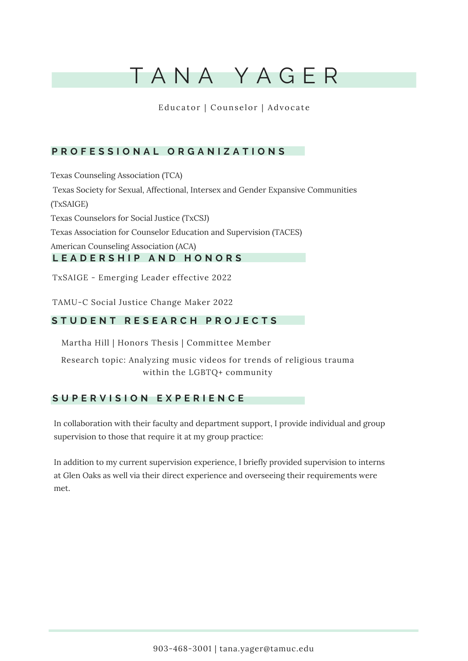# T A N A Y A G E R

Educator | Counselor | Advocate

# **P R O F E S S I O N A L O R G A N I Z A T I O N S**

Texas Counseling Association (TCA) Texas Society for Sexual, Affectional, Intersex and Gender Expansive Communities (TxSAIGE) Texas Counselors for Social Justice (TxCSJ) Texas Association for Counselor Education and Supervision (TACES) American Counseling Association (ACA) **L E A D E R S H I P A N D H O N O R S**

TxSAIGE - Emerging Leader effective 2022

TAMU-C Social Justice Change Maker 2022

# **S T U D E N T R E S E A R C H P R O J E C T S**

Martha Hill | Honors Thesis | Committee Member

Research topic: Analyzing music videos for trends of religious trauma within the LGBTQ+ community

# **S U P E R V I S I O N E X P E R I E N C E**

In collaboration with their faculty and department support, I provide individual and group supervision to those that require it at my group practice:

In addition to my current supervision experience, I briefly provided supervision to interns at Glen Oaks as well via their direct experience and overseeing their requirements were met.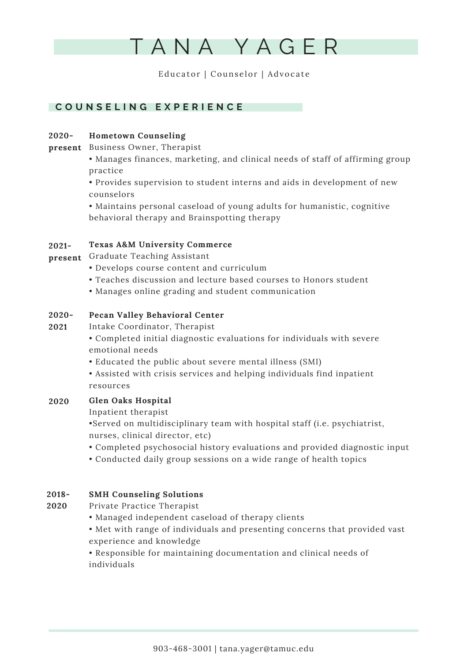

# **C O U N S E L I N G E X P E R I E N C E**

## **Hometown Counseling 2020-**

- **present** Business Owner, Therapist
	- Manages finances, marketing, and clinical needs of staff of affirming group practice

• Provides supervision to student interns and aids in development of new counselors

• Maintains personal caseload of young adults for humanistic, cognitive behavioral therapy and Brainspotting therapy

#### **Texas A&M University Commerce 2021-**

- **present** Graduate Teaching Assistant
	- Develops course content and curriculum
	- Teaches discussion and lecture based courses to Honors student
	- Manages online grading and student communication

### **Pecan Valley Behavioral Center 2020-**

- Intake Coordinator, Therapist **2021**
	- Completed initial diagnostic evaluations for individuals with severe emotional needs
	- Educated the public about severe mental illness (SMI)
	- Assisted with crisis services and helping individuals find inpatient resources

### **Glen Oaks Hospital 2020**

Inpatient therapist

•Served on multidisciplinary team with hospital staff (i.e. psychiatrist, nurses, clinical director, etc)

- Completed psychosocial history evaluations and provided diagnostic input
- Conducted daily group sessions on a wide range of health topics

### **SMH Counseling Solutions 2018-**

Private Practice Therapist **2020**

- Managed independent caseload of therapy clients
- Met with range of individuals and presenting concerns that provided vast experience and knowledge

• Responsible for maintaining documentation and clinical needs of individuals